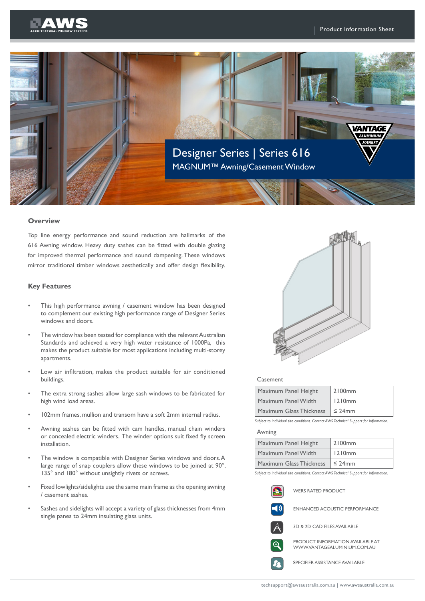



### **Overview**

Top line energy performance and sound reduction are hallmarks of the 616 Awning window. Heavy duty sashes can be fitted with double glazing for improved thermal performance and sound dampening. These windows mirror traditional timber windows aesthetically and offer design flexibility.

### **Key Features**

- This high performance awning / casement window has been designed to complement our existing high performance range of Designer Series windows and doors.
- The window has been tested for compliance with the relevant Australian Standards and achieved a very high water resistance of 1000Pa, this makes the product suitable for most applications including multi-storey apartments.
- Low air infiltration, makes the product suitable for air conditioned buildings.
- The extra strong sashes allow large sash windows to be fabricated for high wind load areas.
- 102mm frames, mullion and transom have a soft 2mm internal radius.
- Awning sashes can be fitted with cam handles, manual chain winders or concealed electric winders. The winder options suit fixed fly screen installation.
- The window is compatible with Designer Series windows and doors. A large range of snap couplers allow these windows to be joined at 90°, 135° and 180° without unsightly rivets or screws.
- Fixed lowlights/sidelights use the same main frame as the opening awning / casement sashes.
- Sashes and sidelights will accept a variety of glass thicknesses from 4mm single panes to 24mm insulating glass units.



#### Casement

| Maximum Panel Height    | 2100 <sub>mm</sub> |  |  |
|-------------------------|--------------------|--|--|
| Maximum Panel Width     | 1210mm             |  |  |
| Maximum Glass Thickness | $\leq$ 24mm        |  |  |

*Subject to individual site conditions. Contact AWS Technical Support for information.*

## Awning

| Maximum Panel Height    | 2100 <sub>mm</sub> |  |  |
|-------------------------|--------------------|--|--|
| Maximum Panel Width     | 1210mm             |  |  |
| Maximum Glass Thickness | $\leq$ 24mm        |  |  |

Subject to individual site conditions. Contact AWS Technical Support for informatio.

|             | <b>WERS RATED PRODUCT</b>                                              |
|-------------|------------------------------------------------------------------------|
| $\exists$ ) | <b>ENHANCED ACOUSTIC PERFORMANCE</b>                                   |
|             | 3D & 2D CAD FILES AVAILABLE                                            |
|             | <b>PRODUCT INFORMATION AVAILABLE AT</b><br>WWWVANTAGFAI UMINIUM COM AU |

SPECIFIER ASSISTANCE AVAILABLE